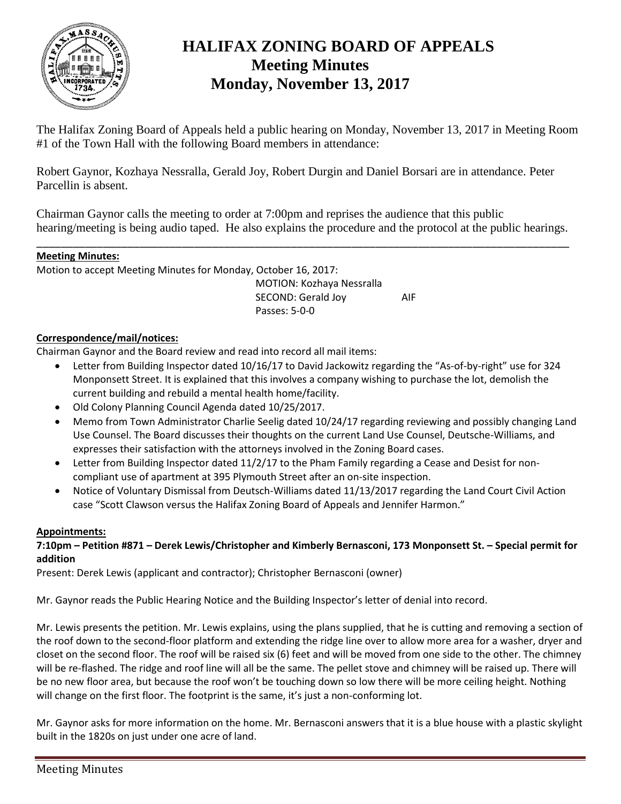

# **HALIFAX ZONING BOARD OF APPEALS Meeting Minutes Monday, November 13, 2017**

The Halifax Zoning Board of Appeals held a public hearing on Monday, November 13, 2017 in Meeting Room #1 of the Town Hall with the following Board members in attendance:

Robert Gaynor, Kozhaya Nessralla, Gerald Joy, Robert Durgin and Daniel Borsari are in attendance. Peter Parcellin is absent.

Chairman Gaynor calls the meeting to order at 7:00pm and reprises the audience that this public hearing/meeting is being audio taped. He also explains the procedure and the protocol at the public hearings.

\_\_\_\_\_\_\_\_\_\_\_\_\_\_\_\_\_\_\_\_\_\_\_\_\_\_\_\_\_\_\_\_\_\_\_\_\_\_\_\_\_\_\_\_\_\_\_\_\_\_\_\_\_\_\_\_\_\_\_\_\_\_\_\_\_\_\_\_\_\_\_\_\_\_\_\_\_\_\_\_\_\_\_\_\_\_\_\_

## **Meeting Minutes:**

Motion to accept Meeting Minutes for Monday, October 16, 2017:

MOTION: Kozhaya Nessralla SECOND: Gerald Joy AIF Passes: 5-0-0

# **Correspondence/mail/notices:**

Chairman Gaynor and the Board review and read into record all mail items:

- Letter from Building Inspector dated 10/16/17 to David Jackowitz regarding the "As-of-by-right" use for 324 Monponsett Street. It is explained that this involves a company wishing to purchase the lot, demolish the current building and rebuild a mental health home/facility.
- Old Colony Planning Council Agenda dated 10/25/2017.
- Memo from Town Administrator Charlie Seelig dated 10/24/17 regarding reviewing and possibly changing Land Use Counsel. The Board discusses their thoughts on the current Land Use Counsel, Deutsche-Williams, and expresses their satisfaction with the attorneys involved in the Zoning Board cases.
- Letter from Building Inspector dated 11/2/17 to the Pham Family regarding a Cease and Desist for noncompliant use of apartment at 395 Plymouth Street after an on-site inspection.
- Notice of Voluntary Dismissal from Deutsch-Williams dated 11/13/2017 regarding the Land Court Civil Action case "Scott Clawson versus the Halifax Zoning Board of Appeals and Jennifer Harmon."

#### **Appointments:**

# **7:10pm – Petition #871 – Derek Lewis/Christopher and Kimberly Bernasconi, 173 Monponsett St. – Special permit for addition**

Present: Derek Lewis (applicant and contractor); Christopher Bernasconi (owner)

Mr. Gaynor reads the Public Hearing Notice and the Building Inspector's letter of denial into record.

Mr. Lewis presents the petition. Mr. Lewis explains, using the plans supplied, that he is cutting and removing a section of the roof down to the second-floor platform and extending the ridge line over to allow more area for a washer, dryer and closet on the second floor. The roof will be raised six (6) feet and will be moved from one side to the other. The chimney will be re-flashed. The ridge and roof line will all be the same. The pellet stove and chimney will be raised up. There will be no new floor area, but because the roof won't be touching down so low there will be more ceiling height. Nothing will change on the first floor. The footprint is the same, it's just a non-conforming lot.

Mr. Gaynor asks for more information on the home. Mr. Bernasconi answers that it is a blue house with a plastic skylight built in the 1820s on just under one acre of land.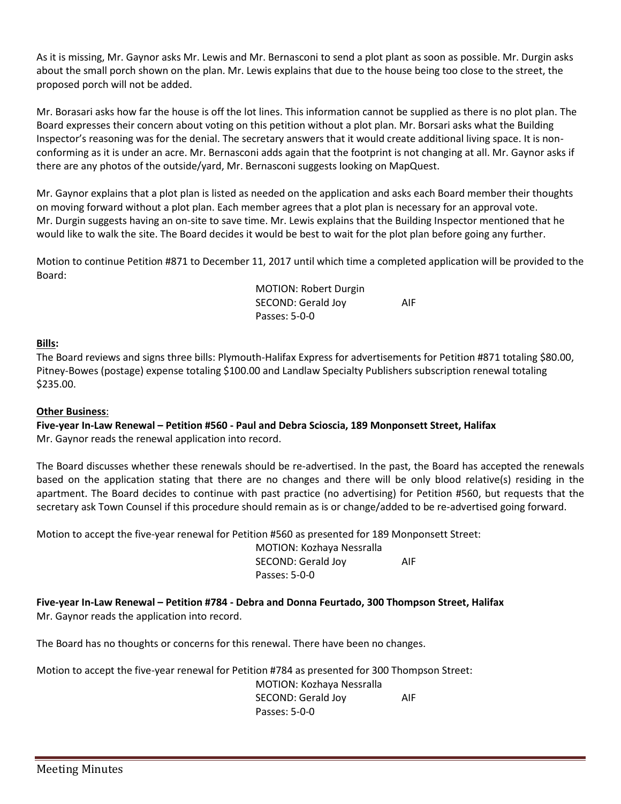As it is missing, Mr. Gaynor asks Mr. Lewis and Mr. Bernasconi to send a plot plant as soon as possible. Mr. Durgin asks about the small porch shown on the plan. Mr. Lewis explains that due to the house being too close to the street, the proposed porch will not be added.

Mr. Borasari asks how far the house is off the lot lines. This information cannot be supplied as there is no plot plan. The Board expresses their concern about voting on this petition without a plot plan. Mr. Borsari asks what the Building Inspector's reasoning was for the denial. The secretary answers that it would create additional living space. It is nonconforming as it is under an acre. Mr. Bernasconi adds again that the footprint is not changing at all. Mr. Gaynor asks if there are any photos of the outside/yard, Mr. Bernasconi suggests looking on MapQuest.

Mr. Gaynor explains that a plot plan is listed as needed on the application and asks each Board member their thoughts on moving forward without a plot plan. Each member agrees that a plot plan is necessary for an approval vote. Mr. Durgin suggests having an on-site to save time. Mr. Lewis explains that the Building Inspector mentioned that he would like to walk the site. The Board decides it would be best to wait for the plot plan before going any further.

Motion to continue Petition #871 to December 11, 2017 until which time a completed application will be provided to the Board:

> MOTION: Robert Durgin SECOND: Gerald Joy AIF Passes: 5-0-0

## **Bills:**

The Board reviews and signs three bills: Plymouth-Halifax Express for advertisements for Petition #871 totaling \$80.00, Pitney-Bowes (postage) expense totaling \$100.00 and Landlaw Specialty Publishers subscription renewal totaling \$235.00.

#### **Other Business**:

**Five-year In-Law Renewal – Petition #560 - Paul and Debra Scioscia, 189 Monponsett Street, Halifax** Mr. Gaynor reads the renewal application into record.

The Board discusses whether these renewals should be re-advertised. In the past, the Board has accepted the renewals based on the application stating that there are no changes and there will be only blood relative(s) residing in the apartment. The Board decides to continue with past practice (no advertising) for Petition #560, but requests that the secretary ask Town Counsel if this procedure should remain as is or change/added to be re-advertised going forward.

Motion to accept the five-year renewal for Petition #560 as presented for 189 Monponsett Street:

MOTION: Kozhaya Nessralla SECOND: Gerald Joy AIF Passes: 5-0-0

**Five-year In-Law Renewal – Petition #784 - Debra and Donna Feurtado, 300 Thompson Street, Halifax** Mr. Gaynor reads the application into record.

The Board has no thoughts or concerns for this renewal. There have been no changes.

Motion to accept the five-year renewal for Petition #784 as presented for 300 Thompson Street:

MOTION: Kozhaya Nessralla SECOND: Gerald Joy AIF Passes: 5-0-0